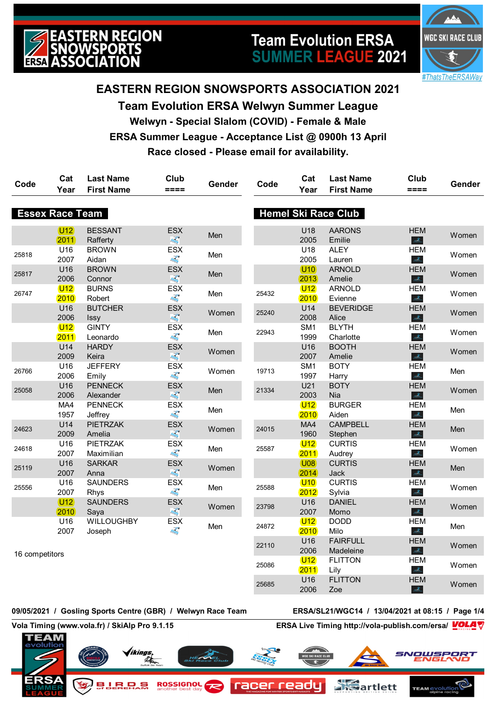

# **Team Evolution ERSA SUMMER LEAGUE 2021**



## **EASTERN REGION SNOWSPORTS ASSOCIATION 2021**

**Team Evolution ERSA Welwyn Summer League Welwyn - Special Slalom (COVID) - Female & Male ERSA Summer League - Acceptance List @ 0900h 13 April Race closed - Please email for availability.**

| Code           | Cat<br>Year              | <b>Last Name</b><br><b>First Name</b> | Club<br>====                                                    | Gender | Code  | Cat<br>Year             | <b>Last Name</b><br><b>First Name</b> | Club<br>$====$                                                  | Gender |
|----------------|--------------------------|---------------------------------------|-----------------------------------------------------------------|--------|-------|-------------------------|---------------------------------------|-----------------------------------------------------------------|--------|
|                | <b>Essex Race Team</b>   |                                       |                                                                 |        |       |                         | <b>Hemel Ski Race Club</b>            |                                                                 |        |
|                |                          |                                       |                                                                 |        |       |                         |                                       |                                                                 |        |
|                | $\overline{U12}$<br>2011 | <b>BESSANT</b><br>Rafferty            | <b>ESX</b><br>$\frac{1}{\left\langle k_{\rm{B}}\right\rangle }$ | Men    |       | U18<br>2005             | <b>AARONS</b><br>Emilie               | <b>HEM</b><br>$\frac{\partial}{\partial \theta_{\rm{in}}}$      | Women  |
| 25818          | U <sub>16</sub><br>2007  | <b>BROWN</b><br>Aidan                 | <b>ESX</b><br><b>FREE</b>                                       | Men    |       | U18<br>2005             | <b>ALEY</b><br>Lauren                 | <b>HEM</b><br>$\mathcal{A}_\mathbf{a}$                          | Women  |
| 25817          | U16<br>2006              | <b>BROWN</b><br>Connor                | <b>ESX</b><br>$\eta_{\rm sig}^{\rm P}$                          | Men    |       | $10$<br>2013            | <b>ARNOLD</b><br>Amelie               | <b>HEM</b><br>them                                              | Women  |
| 26747          | U12<br>2010              | <b>BURNS</b><br>Robert                | ESX<br>零                                                        | Men    | 25432 | U12<br>2010             | <b>ARNOLD</b><br>Evienne              | <b>HEM</b><br>$\mathcal{A}_{\mathbb{Z}}$                        | Women  |
|                | U16<br>2006              | <b>BUTCHER</b><br>Issy                | ESX<br>$\eta_{\rm sky}^{\rm (S)}$                               | Women  | 25240 | U14<br>2008             | <b>BEVERIDGE</b><br>Alice             | <b>HEM</b><br>$\frac{1}{2} \sum_{i=1}^n$                        | Women  |
|                | U12<br>2011              | <b>GINTY</b><br>Leonardo              | ESX<br><b>FREE</b>                                              | Men    | 22943 | SM1<br>1999             | <b>BLYTH</b><br>Charlotte             | <b>HEM</b><br>theor                                             | Women  |
|                | U14<br>2009              | <b>HARDY</b><br>Keira                 | ESX<br>$\frac{\partial}{\partial x_{ij}}$                       | Women  |       | U16<br>2007             | <b>BOOTH</b><br>Amelie                | <b>HEM</b><br>$\frac{1}{2}$                                     | Women  |
| 26766          | U16<br>2006              | <b>JEFFERY</b><br>Emily               | ESX<br>零                                                        | Women  | 19713 | SM <sub>1</sub><br>1997 | <b>BOTY</b><br>Harry                  | <b>HEM</b><br>$\frac{1}{2\sqrt{2}}\sum_{i=1}^{N}$               | Men    |
| 25058          | U16<br>2006              | <b>PENNECK</b><br>Alexander           | ESX<br>$\eta_{\rm sig}^{\rm P}$                                 | Men    | 21334 | U21<br>2003             | <b>BOTY</b><br>Nia                    | <b>HEM</b><br>$\frac{\partial}{\partial \theta_{\rm{in}}}$      | Women  |
|                | MA4<br>1957              | <b>PENNECK</b><br>Jeffrey             | ESX<br>零                                                        | Men    |       | U12<br>2010             | <b>BURGER</b><br>Aiden                | <b>HEM</b><br>$\frac{1}{2\sqrt{2}}$                             | Men    |
| 24623          | U14<br>2009              | <b>PIETRZAK</b><br>Amelia             | ESX<br>$\frac{\partial}{\partial \mu_Q}$                        | Women  | 24015 | MA4<br>1960             | <b>CAMPBELL</b><br>Stephen            | <b>HEM</b><br>$\mathcal{A}_\mathbb{Z}$                          | Men    |
| 24618          | U16<br>2007              | <b>PIETRZAK</b><br>Maximilian         | <b>ESX</b><br><b>FREE</b>                                       | Men    | 25587 | U12<br>2011             | <b>CURTIS</b><br>Audrey               | <b>HEM</b><br>$\mathcal{Z}_\omega$                              | Women  |
| 25119          | U16<br>2007              | <b>SARKAR</b><br>Anna                 | ESX<br>$\frac{\partial}{\partial \mu_Q}$                        | Women  |       | U08<br>2014             | <b>CURTIS</b><br>Jack                 | <b>HEM</b><br>$\mathcal{Z}_\mathbb{Z}$                          | Men    |
| 25556          | U16<br>2007              | <b>SAUNDERS</b><br>Rhys               | ESX<br>零                                                        | Men    | 25588 | $10$<br>2012            | <b>CURTIS</b><br>Sylvia               | <b>HEM</b><br>$\frac{\partial f}{\partial m_{\mu\nu}}$          | Women  |
|                | U <sub>12</sub><br>2010  | <b>SAUNDERS</b><br>Saya               | ESX<br>$\eta_{\rm sig}^{\rm P}$                                 | Women  | 23798 | U16<br>2007             | <b>DANIEL</b><br>Momo                 | <b>HEM</b><br>$\frac{\partial}{\partial \theta_{\rm{in}}}$      | Women  |
|                | U16<br>2007              | WILLOUGHBY<br>Joseph                  | ESX<br>零                                                        | Men    | 24872 | U12<br>2010             | <b>DODD</b><br>Milo                   | <b>HEM</b><br>$\frac{\partial \mathbf{y}}{\partial \mathbf{z}}$ | Men    |
| 16 competitors |                          |                                       |                                                                 |        | 22110 | U16<br>2006             | <b>FAIRFULL</b><br>Madeleine          | <b>HEM</b><br>$\mathcal{A}_\text{L}$                            | Women  |
|                |                          |                                       |                                                                 |        | 25086 | U12<br>2011             | <b>FLITTON</b><br>Lily                | <b>HEM</b><br>the s                                             | Women  |
|                |                          |                                       |                                                                 |        | 25685 | U16<br>2006             | <b>FLITTON</b><br>70P                 | <b>HEM</b><br>$\mathcal{L}_{\mathcal{L}}$                       | Women  |

#### **09/05/2021 / Gosling Sports Centre (GBR) / Welwyn Race Team ERSA/SL21/WGC14 / 13/04/2021 at 08:15 / Page 1/4**

**Vola Timing (www.vola.fr) / SkiAlp Pro 9.1.15 ERSA Live Timing http://vola-publish.com/ersa/**



2006

Zoe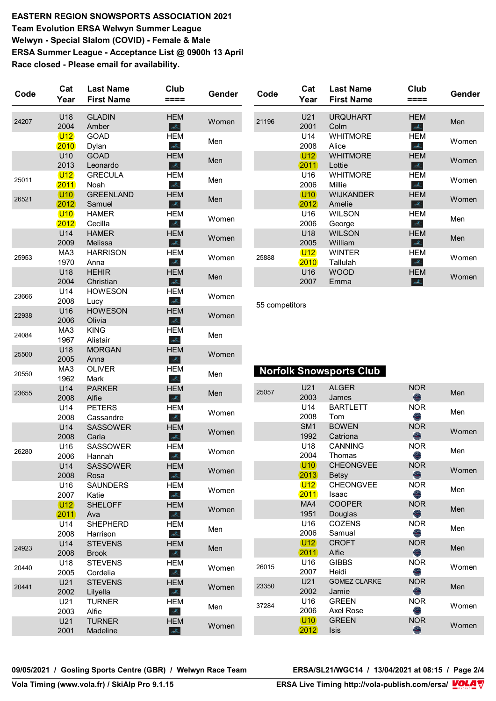**EASTERN REGION SNOWSPORTS ASSOCIATION 2021 Team Evolution ERSA Welwyn Summer League Welwyn - Special Slalom (COVID) - Female & Male ERSA Summer League - Acceptance List @ 0900h 13 April Race closed - Please email for availability.**

| Code  | Cat<br>Year   | <b>Last Name</b><br><b>First Name</b> | Club<br>====                                                                   | Gender | Code           | Cat<br>Year             | <b>Last Name</b><br><b>First Name</b> | Club<br>====                                              | Gender |
|-------|---------------|---------------------------------------|--------------------------------------------------------------------------------|--------|----------------|-------------------------|---------------------------------------|-----------------------------------------------------------|--------|
| 24207 | U18<br>2004   | <b>GLADIN</b><br>Amber                | <b>HEM</b><br>$\frac{\partial}{\partial \theta_{\rm in}}$                      | Women  | 21196          | U21<br>2001             | <b>URQUHART</b><br>Colm               | <b>HEM</b><br>the c                                       | Men    |
|       | U12<br>2010   | GOAD<br>Dylan                         | <b>HEM</b><br>$\frac{\partial}{\partial \mathbf{a}_{i}}$                       | Men    |                | U14<br>2008             | <b>WHITMORE</b><br>Alice              | <b>HEM</b><br>$\mathcal{Z}_\omega$                        | Women  |
|       | U10<br>2013   | <b>GOAD</b><br>Leonardo               | <b>HEM</b><br>ille.                                                            | Men    |                | U <sub>12</sub><br>2011 | <b>WHITMORE</b><br>Lottie             | <b>HEM</b><br>$\frac{\partial}{\partial \mathbf{z}}$      | Women  |
| 25011 | U12<br>2011   | <b>GRECULA</b><br>Noah                | <b>HEM</b><br>idhe.                                                            | Men    |                | U16<br>2006             | <b>WHITMORE</b><br>Millie             | <b>HEM</b><br>stores.                                     | Women  |
| 26521 | (U10)<br>2012 | <b>GREENLAND</b><br>Samuel            | <b>HEM</b><br>$\frac{\partial}{\partial \mathbf{a}_{k}}$                       | Men    |                | (U10)<br>2012           | <b>WIJKANDER</b><br>Amelie            | <b>HEM</b><br>$\frac{\partial}{\partial \mathbf{z}}$      | Women  |
|       | $U10$<br>2012 | <b>HAMER</b><br>Cecilla               | <b>HEM</b><br>$\frac{\partial}{\partial \theta_{\rm in}}$                      | Women  |                | U16<br>2006             | <b>WILSON</b><br>George               | <b>HEM</b><br>the co                                      | Men    |
|       | U14<br>2009   | <b>HAMER</b><br>Melissa               | <b>HEM</b><br>$\frac{\partial}{\partial \mathbf{a}_n}$                         | Women  |                | U18<br>2005             | <b>WILSON</b><br>William              | <b>HEM</b><br>$\frac{\partial}{\partial \theta_{\rm in}}$ | Men    |
| 25953 | MA3<br>1970   | <b>HARRISON</b><br>Anna               | <b>HEM</b><br>$\frac{\partial \mathcal{L}}{\partial \mathcal{L}_{\text{lin}}}$ | Women  | 25888          | U12<br>2010             | <b>WINTER</b><br>Tallulah             | <b>HEM</b><br>$\frac{\partial}{\partial \mathbf{z}_{m}}$  | Women  |
|       | U18<br>2004   | <b>HEHIR</b><br>Christian             | <b>HEM</b><br>$\frac{\partial}{\partial \mathbf{m}}$                           | Men    |                | U16<br>2007             | <b>WOOD</b><br>Emma                   | <b>HEM</b><br>$\mathcal{A}_\omega$                        | Women  |
| 23666 | U14<br>2008   | <b>HOWESON</b><br>Lucy                | <b>HEM</b><br>$\frac{\partial}{\partial \mathbf{d}_{\mathrm{in}}}$             | Women  | 55 competitors |                         |                                       |                                                           |        |
| 22938 | U16<br>2006   | <b>HOWESON</b><br>Olivia              | <b>HEM</b><br>$\mathcal{A}_n$                                                  | Women  |                |                         |                                       |                                                           |        |
| 24084 | MA3<br>1967   | <b>KING</b><br>Alistair               | <b>HEM</b><br>$\frac{\partial}{\partial \mathbf{a}_{i}}$                       | Men    |                |                         |                                       |                                                           |        |
| 25500 | U18<br>2005   | <b>MORGAN</b><br>Anna                 | <b>HEM</b><br>$\frac{\partial}{\partial \theta_{\rm in}}$                      | Women  |                |                         |                                       |                                                           |        |
| 20550 | MA3<br>1962   | <b>OLIVER</b><br>Mark                 | <b>HEM</b><br>$\frac{\partial}{\partial \theta_{\rm in}}$                      | Men    |                |                         | <b>Norfolk Snowsports Club</b>        |                                                           |        |
| 23655 | U14<br>2008   | <b>PARKER</b><br>Alfie                | <b>HEM</b><br>$\frac{\partial \mathcal{L}}{\partial \mathcal{L}_{\text{lin}}}$ | Men    | 25057          | U21<br>2003             | <b>ALGER</b><br>James                 | <b>NOR</b><br>$\bullet$                                   | Men    |
|       | U14<br>2008   | <b>PETERS</b><br>Cassandre            | <b>HEM</b><br>$\frac{\partial}{\partial \mathbf{a}_{i}}$                       | Women  |                | U14<br>2008             | <b>BARTLETT</b><br>Tom                | <b>NOR</b><br>O                                           | Men    |
|       | U14<br>2008   | <b>SASSOWER</b><br>Carla              | <b>HEM</b><br>$\frac{\partial}{\partial \Delta_{\rm{L}}}\,$                    | Women  |                | SM <sub>1</sub><br>1992 | <b>BOWEN</b><br>Catriona              | <b>NOR</b><br>$\bullet$                                   | Women  |
| 26280 | U16<br>2006   | <b>SASSOWER</b><br>Hannah             | <b>HEM</b><br>$\mathcal{A}_\mathbb{C}$                                         | Women  |                | U18<br>2004             | <b>CANNING</b><br>Thomas              | <b>NOR</b><br>O                                           | Men    |
|       | U14<br>2008   | <b>SASSOWER</b><br>Rosa               | <b>HEM</b><br>$\Delta_{\rm L}$                                                 | Women  |                | (U10)<br>2013           | <b>CHEONGVEE</b><br><b>Betsy</b>      | <b>NOR</b><br>$\bigcirc$                                  | Women  |
|       | U16<br>2007   | <b>SAUNDERS</b><br>Katie              | <b>HEM</b><br>$\mathcal{A}_n$                                                  | Women  |                | U12<br>2011             | <b>CHEONGVEE</b><br>Isaac             | <b>NOR</b><br>O                                           | Men    |
|       | (U12)<br>2011 | <b>SHELOFF</b><br>Ava                 | <b>HEM</b><br>$\frac{\partial}{\partial \mathbf{a}_n}$                         | Women  |                | MA4<br>1951             | <b>COOPER</b><br>Douglas              | <b>NOR</b><br>$\bullet$                                   | Men    |
|       | U14<br>2008   | <b>SHEPHERD</b><br>Harrison           | <b>HEM</b><br>$\frac{\partial}{\partial \mathbf{z}_{m}}$                       | Men    |                | U16<br>2006             | <b>COZENS</b><br>Samual               | <b>NOR</b><br>O                                           | Men    |
| 24923 | U14<br>2008   | <b>STEVENS</b><br><b>Brook</b>        | <b>HEM</b><br>$\Delta_{\rm h}$                                                 | Men    |                | (U12)<br>(2011)         | <b>CROFT</b><br>Alfie                 | <b>NOR</b><br>$\bullet$                                   | Men    |
| 20440 | U18<br>2005   | <b>STEVENS</b><br>Cordelia            | <b>HEM</b><br>$\Delta_{\rm b}$                                                 | Women  | 26015          | U16<br>2007             | <b>GIBBS</b><br>Heidi                 | <b>NOR</b><br>O                                           | Women  |
| 20441 | U21<br>2002   | <b>STEVENS</b><br>Lilyella            | <b>HEM</b><br>$\Delta_{\rm b}$                                                 | Women  | 23350          | U21<br>2002             | <b>GOMEZ CLARKE</b><br>Jamie          | <b>NOR</b><br>$\bigcirc$                                  | Men    |
|       | U21<br>2003   | <b>TURNER</b><br>Alfie                | <b>HEM</b><br>$\mathcal{A}_{\scriptscriptstyle\mathrm{b}}$                     | Men    | 37284          | U16<br>2006             | <b>GREEN</b><br>Axel Rose             | <b>NOR</b><br>O                                           | Women  |
|       | U21<br>2001   | <b>TURNER</b><br>Madeline             | <b>HEM</b><br>$\frac{\partial}{\partial \mathbf{z}_{\text{in}}^{\text{in}}}$   | Women  |                | (U10)<br>2012           | <b>GREEN</b><br>Isis                  | <b>NOR</b><br>$\bullet$                                   | Women  |

**09/05/2021 / Gosling Sports Centre (GBR) / Welwyn Race Team ERSA/SL21/WGC14 / 13/04/2021 at 08:15 / Page 2/4**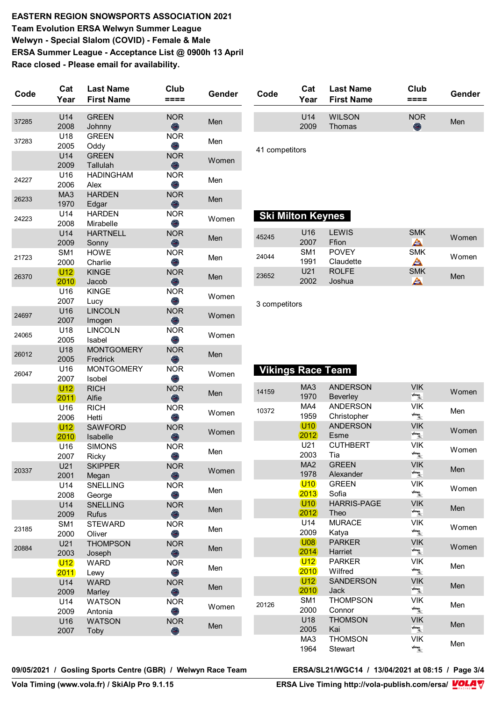**EASTERN REGION SNOWSPORTS ASSOCIATION 2021 Team Evolution ERSA Welwyn Summer League Welwyn - Special Slalom (COVID) - Female & Male ERSA Summer League - Acceptance List @ 0900h 13 April Race closed - Please email for availability.**

| Code  | Cat<br>Year             | <b>Last Name</b><br><b>First Name</b> | Club<br>====             | Gender |
|-------|-------------------------|---------------------------------------|--------------------------|--------|
| 37285 | U14<br>2008             | <b>GREEN</b><br>Johnny                | <b>NOR</b><br>$\bigcirc$ | Men    |
| 37283 | U18<br>2005             | <b>GREEN</b><br>Oddy                  | <b>NOR</b><br>O          | Men    |
|       | U14<br>2009             | <b>GREEN</b><br>Tallulah              | <b>NOR</b><br>O          | Women  |
| 24227 | U16<br>2006             | <b>HADINGHAM</b><br>Alex              | <b>NOR</b><br>O          | Men    |
| 26233 | MA <sub>3</sub><br>1970 | <b>HARDEN</b><br>Edgar                | <b>NOR</b><br>O          | Men    |
| 24223 | U14<br>2008             | <b>HARDEN</b><br>Mirabelle            | <b>NOR</b><br>O          | Women  |
|       | U14<br>2009             | <b>HARTNELL</b><br>Sonny              | <b>NOR</b><br>O          | Men    |
| 21723 | SM <sub>1</sub><br>2000 | <b>HOWE</b><br>Charlie                | <b>NOR</b><br>O          | Men    |
| 26370 | (U12)<br>(2010)         | <b>KINGE</b><br>Jacob                 | <b>NOR</b><br>O          | Men    |
|       | U16<br>2007             | <b>KINGE</b><br>Lucy                  | <b>NOR</b><br>O)         | Women  |
| 24697 | U16<br>2007             | <b>LINCOLN</b><br>Imogen              | <b>NOR</b><br>O          | Women  |
| 24065 | U18<br>2005             | <b>LINCOLN</b><br>Isabel              | <b>NOR</b><br>O          | Women  |
| 26012 | U18<br>2005             | <b>MONTGOMERY</b><br>Fredrick         | <b>NOR</b><br>O          | Men    |
| 26047 | U16<br>2007             | <b>MONTGOMERY</b><br>Isobel           | <b>NOR</b><br>O          | Women  |
|       | (U12)<br>2011           | <b>RICH</b><br>Alfie                  | <b>NOR</b><br>O          | Men    |
|       | U16<br>2006             | <b>RICH</b><br>Hetti                  | <b>NOR</b><br>O          | Women  |
|       | $U12$<br>2010           | <b>SAWFORD</b><br>Isabelle            | <b>NOR</b><br>O          | Women  |
|       | U16<br>2007             | <b>SIMONS</b><br>Ricky                | <b>NOR</b><br>O          | Men    |
| 20337 | U21<br>2001             | <b>SKIPPER</b><br>Megan               | <b>NOR</b><br>O          | Women  |
|       | U14<br>2008             | <b>SNELLING</b><br>George             | <b>NOR</b><br>O          | Men    |
|       | U14<br>2009             | <b>SNELLING</b><br><b>Rufus</b>       | <b>NOR</b><br>$\bullet$  | Men    |
| 23185 | SM1<br>2000             | <b>STEWARD</b><br>Oliver              | <b>NOR</b><br>O          | Men    |
| 20884 | U21<br>2003             | <b>THOMPSON</b><br>Joseph             | <b>NOR</b><br>O          | Men    |
|       | U12 <br>2011            | <b>WARD</b><br>Lewy                   | <b>NOR</b><br>O          | Men    |
|       | U14<br>2009             | <b>WARD</b><br>Marley                 | <b>NOR</b><br>O          | Men    |
|       | U14<br>2009             | <b>WATSON</b><br>Antonia              | <b>NOR</b><br>O          | Women  |
|       | U16<br>2007             | <b>WATSON</b><br>Toby                 | <b>NOR</b><br>$\bigcirc$ | Men    |

| Code | Cat<br>Year | <b>Last Name</b><br>First Name | Club       | Gender |
|------|-------------|--------------------------------|------------|--------|
|      | 1114        | WII SON                        | <b>NOR</b> |        |
|      | 2009        | Thomas                         | O          | Men    |

41 competitors

#### **Ski Milton Keynes**

| 45245 | U16<br>2007             | I FWIS<br>Ffion           | <b>SMK</b><br>≜ | Women |
|-------|-------------------------|---------------------------|-----------------|-------|
| 24044 | SM <sub>1</sub><br>1991 | <b>POVEY</b><br>Claudette | <b>SMK</b><br>≜ | Women |
| 23652 | U21<br>2002             | ROLFF.<br>Joshua          | <b>SMK</b><br>≜ | Men   |

3 competitors

 **Vikings Race Team** 

| 14159 | MA <sub>3</sub><br>1970 | <b>ANDERSON</b><br><b>Beverley</b> | <b>VIK</b><br>$\frac{1}{4}$                                                                                                                                                                                                                                                                                                                                | Women |
|-------|-------------------------|------------------------------------|------------------------------------------------------------------------------------------------------------------------------------------------------------------------------------------------------------------------------------------------------------------------------------------------------------------------------------------------------------|-------|
| 10372 | MA4<br>1959             | <b>ANDERSON</b><br>Christopher     | <b>VIK</b><br>$\frac{1}{\sqrt{2}}$                                                                                                                                                                                                                                                                                                                         | Men   |
|       | (U10)<br>2012           | <b>ANDERSON</b><br>Esme            | <b>VIK</b><br>$\sqrt{2}$                                                                                                                                                                                                                                                                                                                                   | Women |
|       | U21<br>2003             | <b>CUTHBERT</b><br>Tia             | VIK<br>$\sqrt{2}$                                                                                                                                                                                                                                                                                                                                          | Women |
|       | MA <sub>2</sub><br>1978 | <b>GREEN</b><br>Alexander          | <b>VIK</b><br>$\sqrt{n}$ ings,                                                                                                                                                                                                                                                                                                                             | Men   |
|       | $U$ 10<br>2013          | <b>GREEN</b><br>Sofia              | <b>VIK</b><br>$\frac{1}{\sqrt{2}}$                                                                                                                                                                                                                                                                                                                         | Women |
|       | U10<br>2012             | <b>HARRIS-PAGE</b><br>Theo         | <b>VIK</b><br>$\frac{1}{\frac{1}{2}}$                                                                                                                                                                                                                                                                                                                      | Men   |
|       | U14<br>2009             | <b>MURACE</b><br>Katya             | <b>VIK</b><br>$\sqrt{n}$ ings,                                                                                                                                                                                                                                                                                                                             | Women |
|       | (108)<br>2014           | <b>PARKER</b><br>Harriet           | <b>VIK</b><br>$\sqrt{\frac{N}{N}}$                                                                                                                                                                                                                                                                                                                         | Women |
|       | U12<br>2010             | <b>PARKER</b><br>Wilfred           | <b>VIK</b><br>$\sqrt{2}$                                                                                                                                                                                                                                                                                                                                   | Men   |
|       | U12<br>2010             | <b>SANDERSON</b><br>Jack           | <b>VIK</b><br>$\frac{1}{4}$                                                                                                                                                                                                                                                                                                                                | Men   |
| 20126 | SM <sub>1</sub><br>2000 | <b>THOMPSON</b><br>Connor          | VIK<br>$\begin{picture}(220,20) \put(0,0){\line(1,0){10}} \put(15,0){\line(1,0){10}} \put(15,0){\line(1,0){10}} \put(15,0){\line(1,0){10}} \put(15,0){\line(1,0){10}} \put(15,0){\line(1,0){10}} \put(15,0){\line(1,0){10}} \put(15,0){\line(1,0){10}} \put(15,0){\line(1,0){10}} \put(15,0){\line(1,0){10}} \put(15,0){\line(1,0){10}} \put(15,0){\line($ | Men   |
|       | U18<br>2005             | <b>THOMSON</b><br>Kai              | <b>VIK</b><br>$\frac{1}{4}$                                                                                                                                                                                                                                                                                                                                | Men   |
|       | MA <sub>3</sub><br>1964 | <b>THOMSON</b><br><b>Stewart</b>   | <b>VIK</b><br><b>Vikings,</b><br>Album                                                                                                                                                                                                                                                                                                                     | Men   |

**09/05/2021 / Gosling Sports Centre (GBR) / Welwyn Race Team ERSA/SL21/WGC14 / 13/04/2021 at 08:15 / Page 3/4**